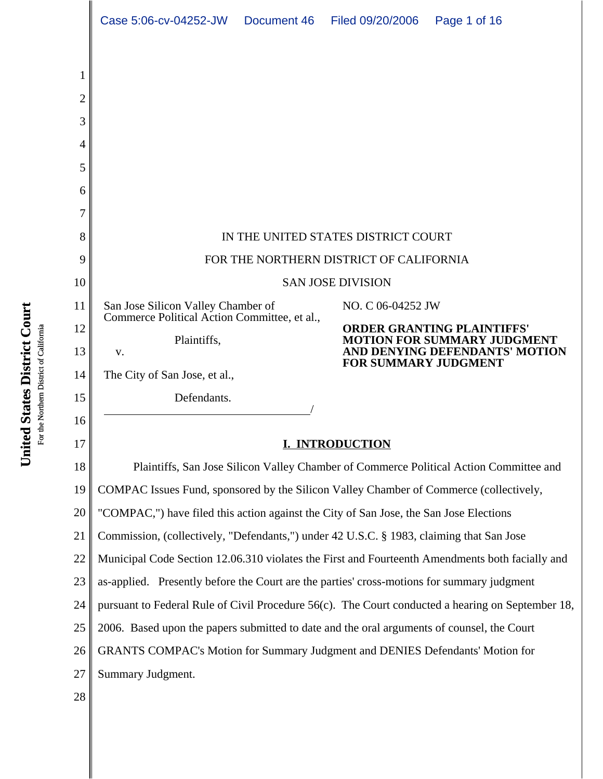|        | Case 5:06-cv-04252-JW                                                                             |  | Document 46 Filed 09/20/2006                                                                              | Page 1 of 16 |  |  |
|--------|---------------------------------------------------------------------------------------------------|--|-----------------------------------------------------------------------------------------------------------|--------------|--|--|
| 2<br>3 |                                                                                                   |  |                                                                                                           |              |  |  |
| 4      |                                                                                                   |  |                                                                                                           |              |  |  |
| 5      |                                                                                                   |  |                                                                                                           |              |  |  |
| 6      |                                                                                                   |  |                                                                                                           |              |  |  |
| 7<br>8 |                                                                                                   |  |                                                                                                           |              |  |  |
| 9      | IN THE UNITED STATES DISTRICT COURT<br>FOR THE NORTHERN DISTRICT OF CALIFORNIA                    |  |                                                                                                           |              |  |  |
| 10     | <b>SAN JOSE DIVISION</b>                                                                          |  |                                                                                                           |              |  |  |
| 11     | San Jose Silicon Valley Chamber of                                                                |  | NO. C 06-04252 JW                                                                                         |              |  |  |
| 12     | Commerce Political Action Committee, et al.,<br>Plaintiffs,<br>V.                                 |  | <b>ORDER GRANTING PLAINTIFFS'</b><br><b>MOTION FOR SUMMARY JUDGMENT</b><br>AND DENYING DEFENDANTS' MOTION |              |  |  |
| 13     |                                                                                                   |  |                                                                                                           |              |  |  |
| 14     | The City of San Jose, et al.,                                                                     |  | <b>FOR SUMMARY JUDGMENT</b>                                                                               |              |  |  |
| 15     | Defendants.                                                                                       |  |                                                                                                           |              |  |  |
| 16     |                                                                                                   |  |                                                                                                           |              |  |  |
| 17     | <b>I. INTRODUCTION</b>                                                                            |  |                                                                                                           |              |  |  |
| 18     | Plaintiffs, San Jose Silicon Valley Chamber of Commerce Political Action Committee and            |  |                                                                                                           |              |  |  |
| 19     | COMPAC Issues Fund, sponsored by the Silicon Valley Chamber of Commerce (collectively,            |  |                                                                                                           |              |  |  |
| 20     | "COMPAC,") have filed this action against the City of San Jose, the San Jose Elections            |  |                                                                                                           |              |  |  |
| 21     | Commission, (collectively, "Defendants,") under 42 U.S.C. § 1983, claiming that San Jose          |  |                                                                                                           |              |  |  |
| 22     | Municipal Code Section 12.06.310 violates the First and Fourteenth Amendments both facially and   |  |                                                                                                           |              |  |  |
| 23     | as-applied. Presently before the Court are the parties' cross-motions for summary judgment        |  |                                                                                                           |              |  |  |
| 24     | pursuant to Federal Rule of Civil Procedure 56(c). The Court conducted a hearing on September 18, |  |                                                                                                           |              |  |  |
| 25     | 2006. Based upon the papers submitted to date and the oral arguments of counsel, the Court        |  |                                                                                                           |              |  |  |
| 26     | GRANTS COMPAC's Motion for Summary Judgment and DENIES Defendants' Motion for                     |  |                                                                                                           |              |  |  |
| 27     | Summary Judgment.                                                                                 |  |                                                                                                           |              |  |  |
| 28     |                                                                                                   |  |                                                                                                           |              |  |  |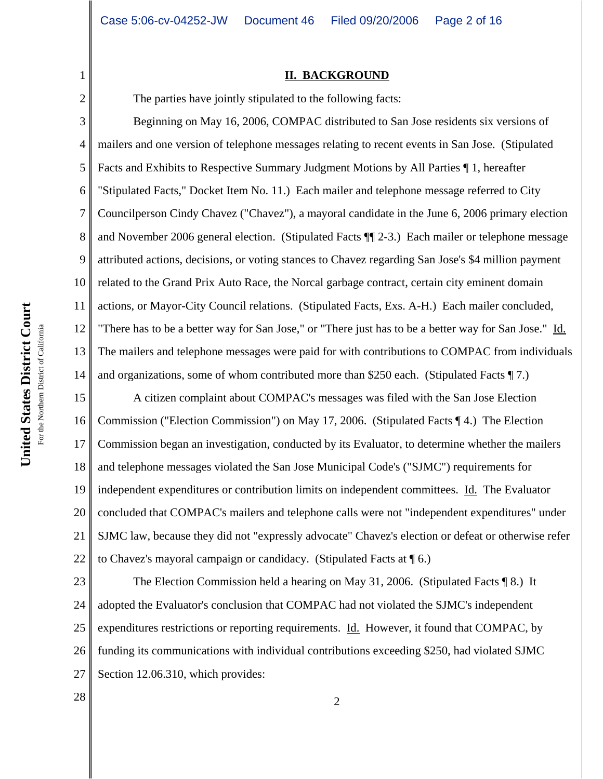#### **II. BACKGROUND**

1

2

The parties have jointly stipulated to the following facts:

3 4 5 6 7 8 9 10 11 12 13 14 Beginning on May 16, 2006, COMPAC distributed to San Jose residents six versions of mailers and one version of telephone messages relating to recent events in San Jose. (Stipulated Facts and Exhibits to Respective Summary Judgment Motions by All Parties ¶ 1, hereafter "Stipulated Facts," Docket Item No. 11.) Each mailer and telephone message referred to City Councilperson Cindy Chavez ("Chavez"), a mayoral candidate in the June 6, 2006 primary election and November 2006 general election. (Stipulated Facts ¶¶ 2-3.) Each mailer or telephone message attributed actions, decisions, or voting stances to Chavez regarding San Jose's \$4 million payment related to the Grand Prix Auto Race, the Norcal garbage contract, certain city eminent domain actions, or Mayor-City Council relations. (Stipulated Facts, Exs. A-H.) Each mailer concluded, "There has to be a better way for San Jose," or "There just has to be a better way for San Jose." Id. The mailers and telephone messages were paid for with contributions to COMPAC from individuals and organizations, some of whom contributed more than \$250 each. (Stipulated Facts ¶ 7.)

15 16 17 18 19 20 21 22 A citizen complaint about COMPAC's messages was filed with the San Jose Election Commission ("Election Commission") on May 17, 2006. (Stipulated Facts ¶ 4.) The Election Commission began an investigation, conducted by its Evaluator, to determine whether the mailers and telephone messages violated the San Jose Municipal Code's ("SJMC") requirements for independent expenditures or contribution limits on independent committees. Id. The Evaluator concluded that COMPAC's mailers and telephone calls were not "independent expenditures" under SJMC law, because they did not "expressly advocate" Chavez's election or defeat or otherwise refer to Chavez's mayoral campaign or candidacy. (Stipulated Facts at ¶ 6.)

23 24 25 26 27 The Election Commission held a hearing on May 31, 2006. (Stipulated Facts ¶ 8.) It adopted the Evaluator's conclusion that COMPAC had not violated the SJMC's independent expenditures restrictions or reporting requirements. Id. However, it found that COMPAC, by funding its communications with individual contributions exceeding \$250, had violated SJMC Section 12.06.310, which provides:

United States District Court **United States District Court** For the Northern District of California For the Northern District of California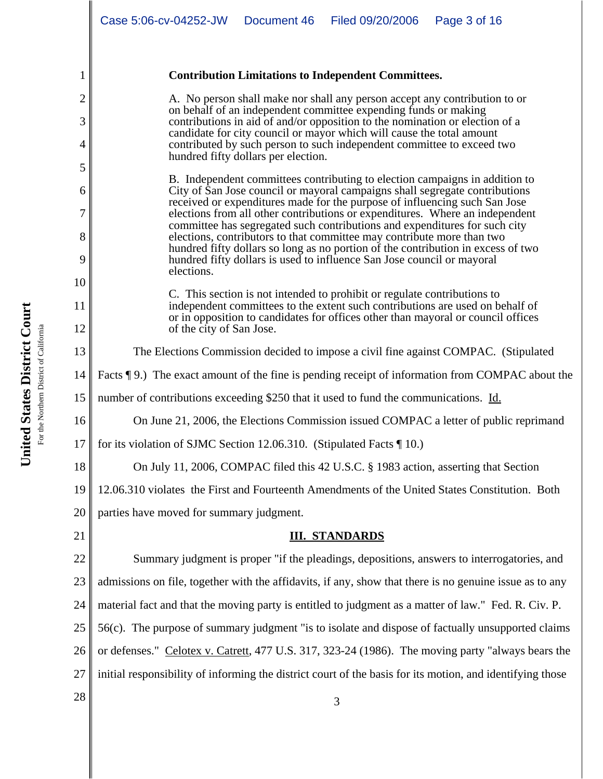#### **Contribution Limitations to Independent Committees.**

A. No person shall make nor shall any person accept any contribution to or on behalf of an independent committee expending funds or making contributions in aid of and/or opposition to the nomination or election of a candidate for city council or mayor which will cause the total amount contributed by such person to such independent committee to exceed two hundred fifty dollars per election.

B. Independent committees contributing to election campaigns in addition to City of San Jose council or mayoral campaigns shall segregate contributions received or expenditures made for the purpose of influencing such San Jose elections from all other contributions or expenditures. Where an independent committee has segregated such contributions and expenditures for such city elections, contributors to that committee may contribute more than two hundred fifty dollars so long as no portion of the contribution in excess of two hundred fifty dollars is used to influence San Jose council or mayoral elections.

C. This section is not intended to prohibit or regulate contributions to independent committees to the extent such contributions are used on behalf of or in opposition to candidates for offices other than mayoral or council offices of the city of San Jose.

The Elections Commission decided to impose a civil fine against COMPAC. (Stipulated

14 Facts ¶ 9.) The exact amount of the fine is pending receipt of information from COMPAC about the

15 number of contributions exceeding \$250 that it used to fund the communications. Id.

On June 21, 2006, the Elections Commission issued COMPAC a letter of public reprimand

17 for its violation of SJMC Section 12.06.310. (Stipulated Facts ¶ 10.)

On July 11, 2006, COMPAC filed this 42 U.S.C. § 1983 action, asserting that Section

19 12.06.310 violates the First and Fourteenth Amendments of the United States Constitution. Both

20 parties have moved for summary judgment.

21

1

2

3

4

5

6

7

8

9

10

11

12

13

16

18

# **III. STANDARDS**

22 23 24 25 26 27 Summary judgment is proper "if the pleadings, depositions, answers to interrogatories, and admissions on file, together with the affidavits, if any, show that there is no genuine issue as to any material fact and that the moving party is entitled to judgment as a matter of law." Fed. R. Civ. P. 56(c). The purpose of summary judgment "is to isolate and dispose of factually unsupported claims or defenses." Celotex v. Catrett, 477 U.S. 317, 323-24 (1986). The moving party "always bears the initial responsibility of informing the district court of the basis for its motion, and identifying those

 $\begin{array}{|c|c|c|c|c|}\n \hline\n 28 & 3 \\
\hline\n \end{array}$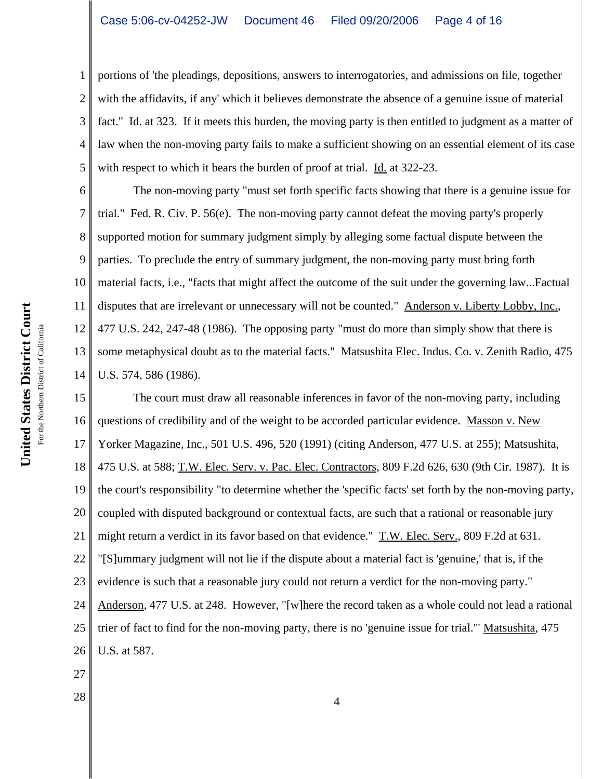2 3 4 5 portions of 'the pleadings, depositions, answers to interrogatories, and admissions on file, together with the affidavits, if any' which it believes demonstrate the absence of a genuine issue of material fact." Id. at 323. If it meets this burden, the moving party is then entitled to judgment as a matter of law when the non-moving party fails to make a sufficient showing on an essential element of its case with respect to which it bears the burden of proof at trial. Id. at 322-23.

6 7 8 9 10 11 12 13 14 The non-moving party "must set forth specific facts showing that there is a genuine issue for trial." Fed. R. Civ. P. 56(e). The non-moving party cannot defeat the moving party's properly supported motion for summary judgment simply by alleging some factual dispute between the parties. To preclude the entry of summary judgment, the non-moving party must bring forth material facts, i.e., "facts that might affect the outcome of the suit under the governing law...Factual disputes that are irrelevant or unnecessary will not be counted." Anderson v. Liberty Lobby, Inc., 477 U.S. 242, 247-48 (1986). The opposing party "must do more than simply show that there is some metaphysical doubt as to the material facts." Matsushita Elec. Indus. Co. v. Zenith Radio, 475 U.S. 574, 586 (1986).

15 16 17 18 19 20 21 22 23 24 25 26 27 The court must draw all reasonable inferences in favor of the non-moving party, including questions of credibility and of the weight to be accorded particular evidence. Masson v. New Yorker Magazine, Inc., 501 U.S. 496, 520 (1991) (citing Anderson, 477 U.S. at 255); Matsushita, 475 U.S. at 588; T.W. Elec. Serv. v. Pac. Elec. Contractors, 809 F.2d 626, 630 (9th Cir. 1987). It is the court's responsibility "to determine whether the 'specific facts' set forth by the non-moving party, coupled with disputed background or contextual facts, are such that a rational or reasonable jury might return a verdict in its favor based on that evidence." T.W. Elec. Serv., 809 F.2d at 631. "[S]ummary judgment will not lie if the dispute about a material fact is 'genuine,' that is, if the evidence is such that a reasonable jury could not return a verdict for the non-moving party." Anderson, 477 U.S. at 248. However, "[w]here the record taken as a whole could not lead a rational trier of fact to find for the non-moving party, there is no 'genuine issue for trial.'" Matsushita, 475 U.S. at 587.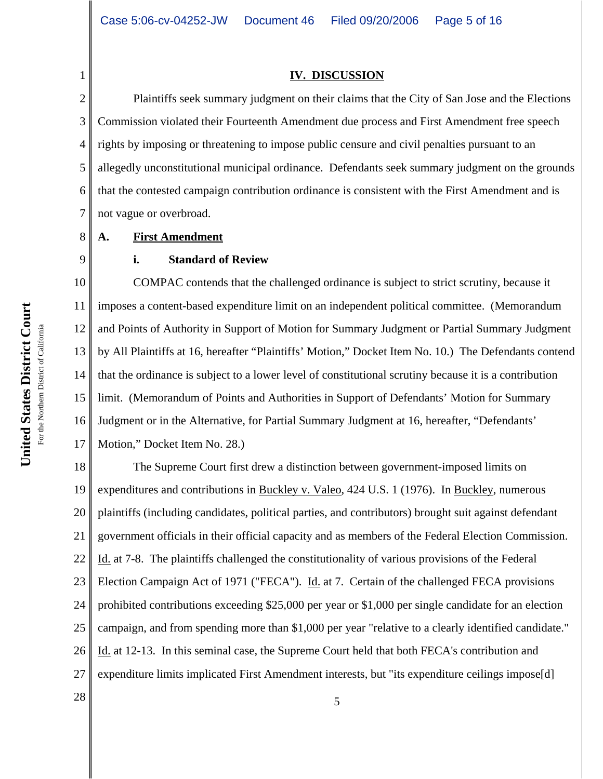#### **IV. DISCUSSION**

2 3 4 5 6 7 Plaintiffs seek summary judgment on their claims that the City of San Jose and the Elections Commission violated their Fourteenth Amendment due process and First Amendment free speech rights by imposing or threatening to impose public censure and civil penalties pursuant to an allegedly unconstitutional municipal ordinance. Defendants seek summary judgment on the grounds that the contested campaign contribution ordinance is consistent with the First Amendment and is not vague or overbroad.

#### **A. First Amendment**

1

8

9

# **i. Standard of Review**

10 11 12 13 14 15 16 17 COMPAC contends that the challenged ordinance is subject to strict scrutiny, because it imposes a content-based expenditure limit on an independent political committee. (Memorandum and Points of Authority in Support of Motion for Summary Judgment or Partial Summary Judgment by All Plaintiffs at 16, hereafter "Plaintiffs' Motion," Docket Item No. 10.) The Defendants contend that the ordinance is subject to a lower level of constitutional scrutiny because it is a contribution limit. (Memorandum of Points and Authorities in Support of Defendants' Motion for Summary Judgment or in the Alternative, for Partial Summary Judgment at 16, hereafter, "Defendants' Motion," Docket Item No. 28.)

18 19 20 21 22 23 24 25 26 27 The Supreme Court first drew a distinction between government-imposed limits on expenditures and contributions in Buckley v. Valeo, 424 U.S. 1 (1976). In Buckley, numerous plaintiffs (including candidates, political parties, and contributors) brought suit against defendant government officials in their official capacity and as members of the Federal Election Commission. Id. at 7-8. The plaintiffs challenged the constitutionality of various provisions of the Federal Election Campaign Act of 1971 ("FECA"). Id. at 7. Certain of the challenged FECA provisions prohibited contributions exceeding \$25,000 per year or \$1,000 per single candidate for an election campaign, and from spending more than \$1,000 per year "relative to a clearly identified candidate." Id. at 12-13. In this seminal case, the Supreme Court held that both FECA's contribution and expenditure limits implicated First Amendment interests, but "its expenditure ceilings impose[d]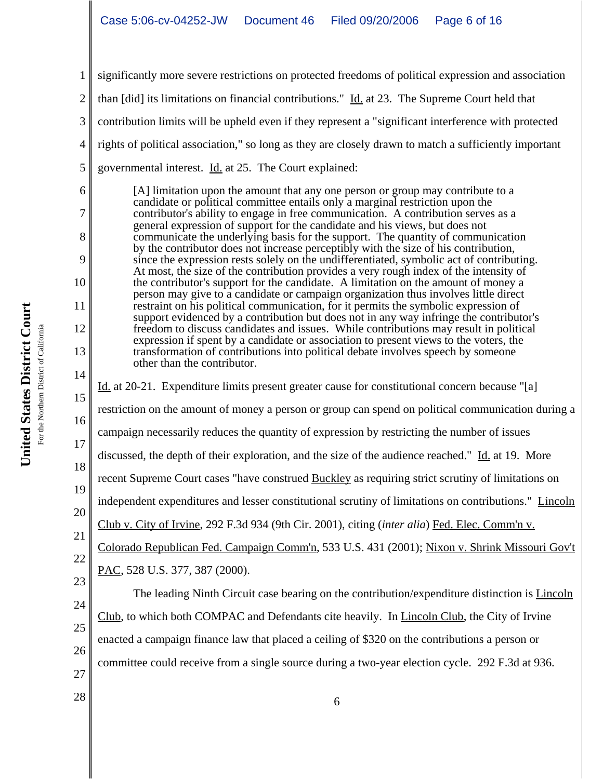1 2 3 4 5 significantly more severe restrictions on protected freedoms of political expression and association than [did] its limitations on financial contributions."  $\underline{Id}$  at 23. The Supreme Court held that contribution limits will be upheld even if they represent a "significant interference with protected rights of political association," so long as they are closely drawn to match a sufficiently important governmental interest. Id. at 25. The Court explained:

[A] limitation upon the amount that any one person or group may contribute to a candidate or political committee entails only a marginal restriction upon the contributor's ability to engage in free communication. A contribution serves as a general expression of support for the candidate and his views, but does not communicate the underlying basis for the support. The quantity of communication by the contributor does not increase perceptibly with the size of his contribution, since the expression rests solely on the undifferentiated, symbolic act of contributing. At most, the size of the contribution provides a very rough index of the intensity of the contributor's support for the candidate. A limitation on the amount of money a person may give to a candidate or campaign organization thus involves little direct restraint on his political communication, for it permits the symbolic expression of support evidenced by a contribution but does not in any way infringe the contributor's freedom to discuss candidates and issues. While contributions may result in political expression if spent by a candidate or association to present views to the voters, the transformation of contributions into political debate involves speech by someone other than the contributor.

14 15 16 17 18 19 20 21 22 23 Id. at 20-21. Expenditure limits present greater cause for constitutional concern because "[a] restriction on the amount of money a person or group can spend on political communication during a campaign necessarily reduces the quantity of expression by restricting the number of issues discussed, the depth of their exploration, and the size of the audience reached." Id. at 19. More recent Supreme Court cases "have construed Buckley as requiring strict scrutiny of limitations on independent expenditures and lesser constitutional scrutiny of limitations on contributions." Lincoln Club v. City of Irvine, 292 F.3d 934 (9th Cir. 2001), citing (*inter alia*) Fed. Elec. Comm'n v. Colorado Republican Fed. Campaign Comm'n, 533 U.S. 431 (2001); Nixon v. Shrink Missouri Gov't PAC, 528 U.S. 377, 387 (2000). The leading Ninth Circuit case bearing on the contribution/expenditure distinction is Lincoln

26 Club, to which both COMPAC and Defendants cite heavily. In Lincoln Club, the City of Irvine enacted a campaign finance law that placed a ceiling of \$320 on the contributions a person or committee could receive from a single source during a two-year election cycle. 292 F.3d at 936.

United States District Court **United States District Court** For the Northern District of California For the Northern District of California 6

7

8

9

10

11

12

13

24

25

27

 $\begin{array}{c|c} 28 & 6 \end{array}$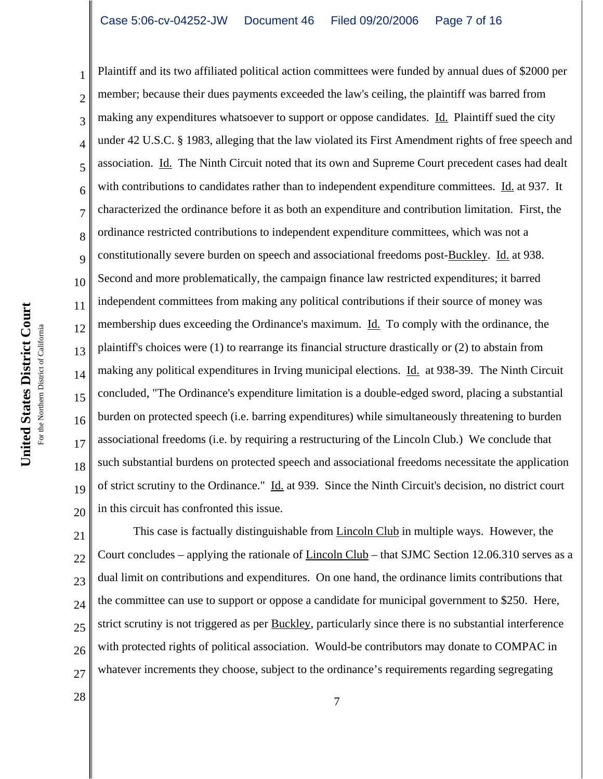19 20 Plaintiff and its two affiliated political action committees were funded by annual dues of \$2000 per member; because their dues payments exceeded the law's ceiling, the plaintiff was barred from making any expenditures whatsoever to support or oppose candidates. Id. Plaintiff sued the city under 42 U.S.C. § 1983, alleging that the law violated its First Amendment rights of free speech and association. Id. The Ninth Circuit noted that its own and Supreme Court precedent cases had dealt with contributions to candidates rather than to independent expenditure committees. Id. at 937. It characterized the ordinance before it as both an expenditure and contribution limitation. First, the ordinance restricted contributions to independent expenditure committees, which was not a constitutionally severe burden on speech and associational freedoms post-Buckley. Id. at 938. Second and more problematically, the campaign finance law restricted expenditures; it barred independent committees from making any political contributions if their source of money was membership dues exceeding the Ordinance's maximum. Id. To comply with the ordinance, the plaintiff's choices were (1) to rearrange its financial structure drastically or (2) to abstain from making any political expenditures in Irving municipal elections. Id. at 938-39. The Ninth Circuit concluded, "The Ordinance's expenditure limitation is a double-edged sword, placing a substantial burden on protected speech (i.e. barring expenditures) while simultaneously threatening to burden associational freedoms (i.e. by requiring a restructuring of the Lincoln Club.) We conclude that such substantial burdens on protected speech and associational freedoms necessitate the application of strict scrutiny to the Ordinance." Id. at 939. Since the Ninth Circuit's decision, no district court in this circuit has confronted this issue.

21 22 23 24 25 26 27 This case is factually distinguishable from Lincoln Club in multiple ways. However, the Court concludes – applying the rationale of  $Lincoh Club$  – that SJMC Section 12.06.310 serves as a</u> dual limit on contributions and expenditures. On one hand, the ordinance limits contributions that the committee can use to support or oppose a candidate for municipal government to \$250. Here, strict scrutiny is not triggered as per Buckley, particularly since there is no substantial interference with protected rights of political association. Would-be contributors may donate to COMPAC in whatever increments they choose, subject to the ordinance's requirements regarding segregating

1

2

3

4

5

6

7

8

9

10

11

12

13

14

15

16

17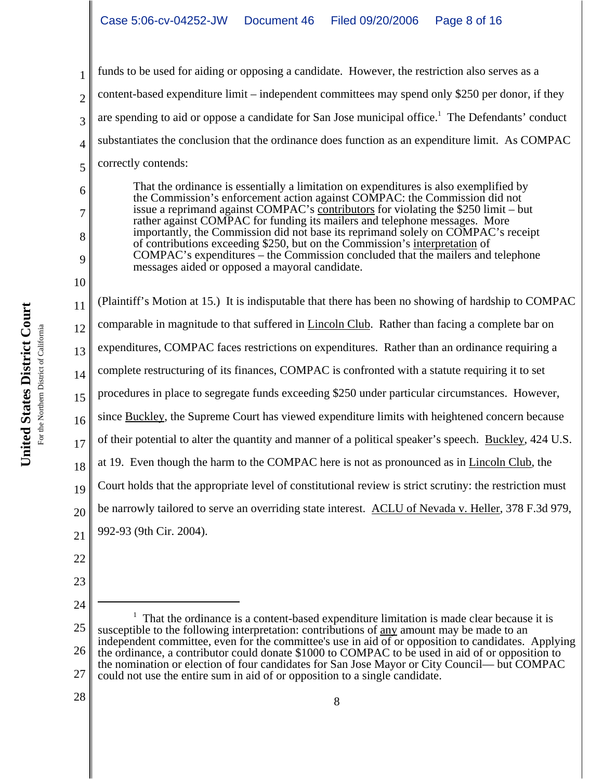funds to be used for aiding or opposing a candidate. However, the restriction also serves as a content-based expenditure limit – independent committees may spend only \$250 per donor, if they are spending to aid or oppose a candidate for San Jose municipal office.<sup>1</sup> The Defendants' conduct substantiates the conclusion that the ordinance does function as an expenditure limit. As COMPAC correctly contends:

That the ordinance is essentially a limitation on expenditures is also exemplified by the Commission's enforcement action against COMPAC: the Commission did not issue a reprimand against COMPAC's contributors for violating the \$250 limit – but rather against COMPAC for funding its mailers and telephone messages. More importantly, the Commission did not base its reprimand solely on COMPAC's receipt of contributions exceeding \$250, but on the Commission's interpretation of COMPAC's expenditures – the Commission concluded that the mailers and telephone messages aided or opposed a mayoral candidate.

11 12 13 14 15 16 17 18 19 20 21 (Plaintiff's Motion at 15.) It is indisputable that there has been no showing of hardship to COMPAC comparable in magnitude to that suffered in Lincoln Club. Rather than facing a complete bar on expenditures, COMPAC faces restrictions on expenditures. Rather than an ordinance requiring a complete restructuring of its finances, COMPAC is confronted with a statute requiring it to set procedures in place to segregate funds exceeding \$250 under particular circumstances. However, since Buckley, the Supreme Court has viewed expenditure limits with heightened concern because of their potential to alter the quantity and manner of a political speaker's speech. Buckley, 424 U.S. at 19. Even though the harm to the COMPAC here is not as pronounced as in Lincoln Club, the Court holds that the appropriate level of constitutional review is strict scrutiny: the restriction must be narrowly tailored to serve an overriding state interest. ACLU of Nevada v. Heller, 378 F.3d 979, 992-93 (9th Cir. 2004).

22

1

2

3

4

5

6

7

8

9

10

23 24

<sup>25</sup> 26 27 <sup>1</sup> That the ordinance is a content-based expenditure limitation is made clear because it is susceptible to the following interpretation: contributions of any amount may be made to an independent committee, even for the committee's use in aid of or opposition to candidates. Applying the ordinance, a contributor could donate \$1000 to COMPAC to be used in aid of or opposition to the nomination or election of four candidates for San Jose Mayor or City Council— but COMPAC could not use the entire sum in aid of or opposition to a single candidate.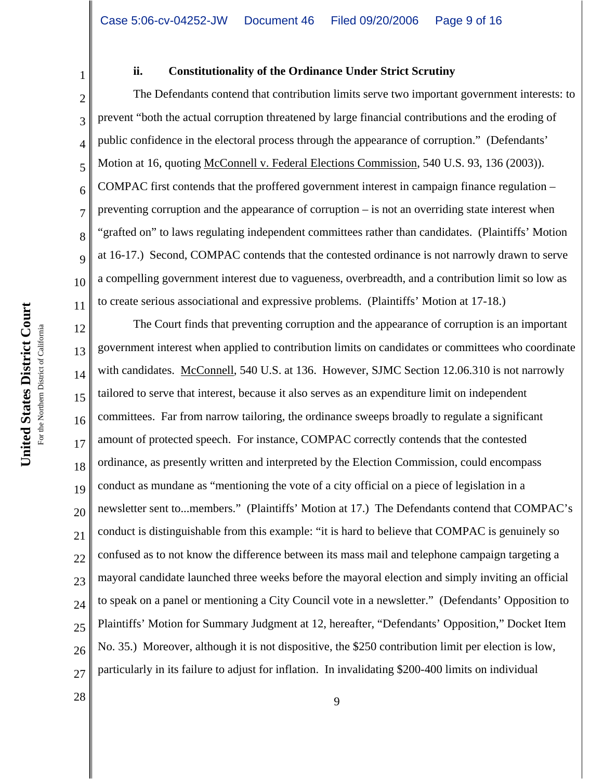1

2

3

4

5

6

7

8

9

10

11

### **ii. Constitutionality of the Ordinance Under Strict Scrutiny**

The Defendants contend that contribution limits serve two important government interests: to prevent "both the actual corruption threatened by large financial contributions and the eroding of public confidence in the electoral process through the appearance of corruption." (Defendants' Motion at 16, quoting McConnell v. Federal Elections Commission, 540 U.S. 93, 136 (2003)). COMPAC first contends that the proffered government interest in campaign finance regulation – preventing corruption and the appearance of corruption – is not an overriding state interest when "grafted on" to laws regulating independent committees rather than candidates. (Plaintiffs' Motion at 16-17.) Second, COMPAC contends that the contested ordinance is not narrowly drawn to serve a compelling government interest due to vagueness, overbreadth, and a contribution limit so low as to create serious associational and expressive problems. (Plaintiffs' Motion at 17-18.)

12 13 14 15 16 17 18 19 20 21 22 23 24 25 26 27 The Court finds that preventing corruption and the appearance of corruption is an important government interest when applied to contribution limits on candidates or committees who coordinate with candidates. McConnell, 540 U.S. at 136. However, SJMC Section 12.06.310 is not narrowly tailored to serve that interest, because it also serves as an expenditure limit on independent committees. Far from narrow tailoring, the ordinance sweeps broadly to regulate a significant amount of protected speech. For instance, COMPAC correctly contends that the contested ordinance, as presently written and interpreted by the Election Commission, could encompass conduct as mundane as "mentioning the vote of a city official on a piece of legislation in a newsletter sent to...members." (Plaintiffs' Motion at 17.) The Defendants contend that COMPAC's conduct is distinguishable from this example: "it is hard to believe that COMPAC is genuinely so confused as to not know the difference between its mass mail and telephone campaign targeting a mayoral candidate launched three weeks before the mayoral election and simply inviting an official to speak on a panel or mentioning a City Council vote in a newsletter." (Defendants' Opposition to Plaintiffs' Motion for Summary Judgment at 12, hereafter, "Defendants' Opposition," Docket Item No. 35.) Moreover, although it is not dispositive, the \$250 contribution limit per election is low, particularly in its failure to adjust for inflation. In invalidating \$200-400 limits on individual

 $\begin{array}{c|c}\n 28 & \rightarrow \text{9}\n \end{array}$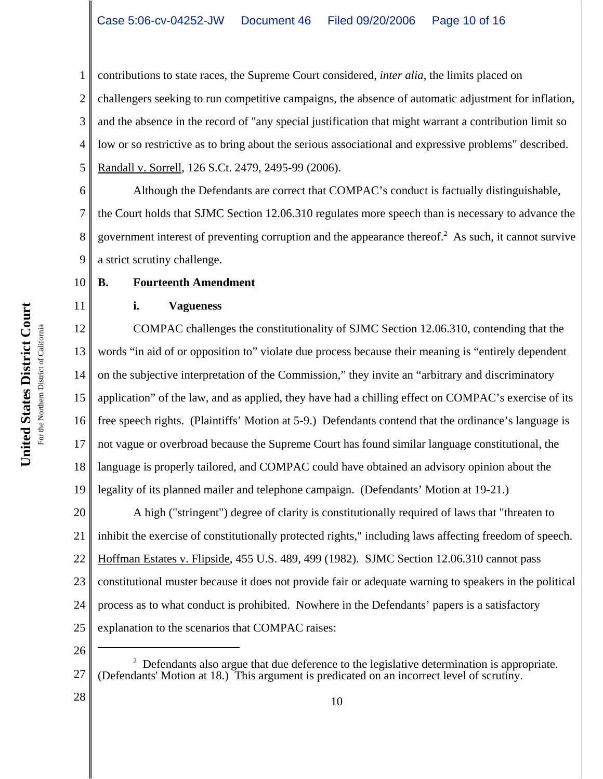1 2 3 4 5 contributions to state races, the Supreme Court considered, *inter alia*, the limits placed on challengers seeking to run competitive campaigns, the absence of automatic adjustment for inflation, and the absence in the record of "any special justification that might warrant a contribution limit so low or so restrictive as to bring about the serious associational and expressive problems" described. Randall v. Sorrell, 126 S.Ct. 2479, 2495-99 (2006).

6 7 8 9 Although the Defendants are correct that COMPAC's conduct is factually distinguishable, the Court holds that SJMC Section 12.06.310 regulates more speech than is necessary to advance the government interest of preventing corruption and the appearance thereof. $2$  As such, it cannot survive a strict scrutiny challenge.

#### 10 **B. Fourteenth Amendment**

# **i. Vagueness**

12 13 14 15 16 17 18 19 COMPAC challenges the constitutionality of SJMC Section 12.06.310, contending that the words "in aid of or opposition to" violate due process because their meaning is "entirely dependent on the subjective interpretation of the Commission," they invite an "arbitrary and discriminatory application" of the law, and as applied, they have had a chilling effect on COMPAC's exercise of its free speech rights. (Plaintiffs' Motion at 5-9.) Defendants contend that the ordinance's language is not vague or overbroad because the Supreme Court has found similar language constitutional, the language is properly tailored, and COMPAC could have obtained an advisory opinion about the legality of its planned mailer and telephone campaign. (Defendants' Motion at 19-21.)

20 21 22 23 24 25 A high ("stringent") degree of clarity is constitutionally required of laws that "threaten to inhibit the exercise of constitutionally protected rights," including laws affecting freedom of speech. Hoffman Estates v. Flipside, 455 U.S. 489, 499 (1982). SJMC Section 12.06.310 cannot pass constitutional muster because it does not provide fair or adequate warning to speakers in the political process as to what conduct is prohibited. Nowhere in the Defendants' papers is a satisfactory explanation to the scenarios that COMPAC raises:

26

United States District Court **United States District Court** For the Northern District of California For the Northern District of California

<sup>27</sup>  $2$  Defendants also argue that due deference to the legislative determination is appropriate. (Defendants' Motion at 18.) This argument is predicated on an incorrect level of scrutiny.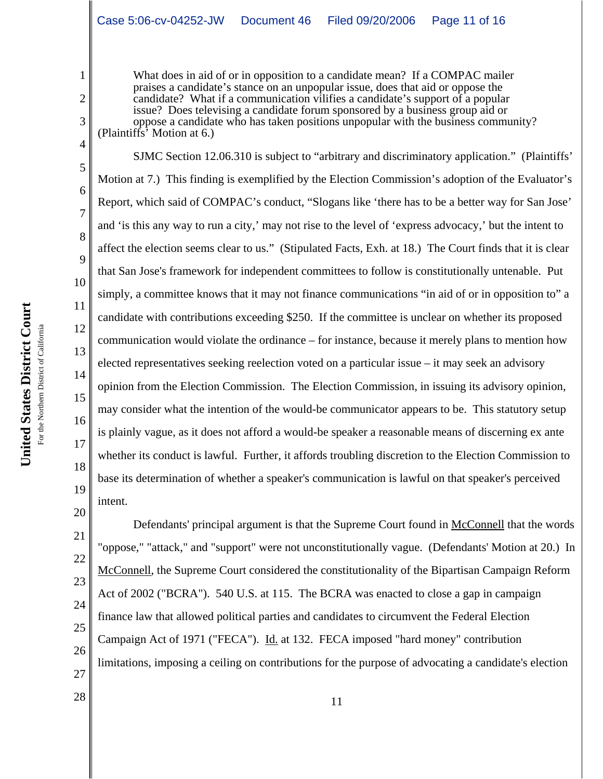What does in aid of or in opposition to a candidate mean? If a COMPAC mailer praises a candidate's stance on an unpopular issue, does that aid or oppose the candidate? What if a communication vilifies a candidate's support of a popular issue? Does televising a candidate forum sponsored by a business group aid or oppose a candidate who has taken positions unpopular with the business community? (Plaintiffs' Motion at 6.)

SJMC Section 12.06.310 is subject to "arbitrary and discriminatory application." (Plaintiffs' Motion at 7.) This finding is exemplified by the Election Commission's adoption of the Evaluator's Report, which said of COMPAC's conduct, "Slogans like 'there has to be a better way for San Jose' and 'is this any way to run a city,' may not rise to the level of 'express advocacy,' but the intent to affect the election seems clear to us." (Stipulated Facts, Exh. at 18.) The Court finds that it is clear that San Jose's framework for independent committees to follow is constitutionally untenable. Put simply, a committee knows that it may not finance communications "in aid of or in opposition to" a candidate with contributions exceeding \$250. If the committee is unclear on whether its proposed communication would violate the ordinance – for instance, because it merely plans to mention how elected representatives seeking reelection voted on a particular issue – it may seek an advisory opinion from the Election Commission. The Election Commission, in issuing its advisory opinion, may consider what the intention of the would-be communicator appears to be. This statutory setup is plainly vague, as it does not afford a would-be speaker a reasonable means of discerning ex ante whether its conduct is lawful. Further, it affords troubling discretion to the Election Commission to base its determination of whether a speaker's communication is lawful on that speaker's perceived intent.

21 24 25 26 27 Defendants' principal argument is that the Supreme Court found in McConnell that the words "oppose," "attack," and "support" were not unconstitutionally vague. (Defendants' Motion at 20.) In McConnell, the Supreme Court considered the constitutionality of the Bipartisan Campaign Reform Act of 2002 ("BCRA"). 540 U.S. at 115. The BCRA was enacted to close a gap in campaign finance law that allowed political parties and candidates to circumvent the Federal Election Campaign Act of 1971 ("FECA"). Id. at 132. FECA imposed "hard money" contribution limitations, imposing a ceiling on contributions for the purpose of advocating a candidate's election

1

2

3

4

5

6

7

8

9

10

11

12

13

14

15

16

17

18

19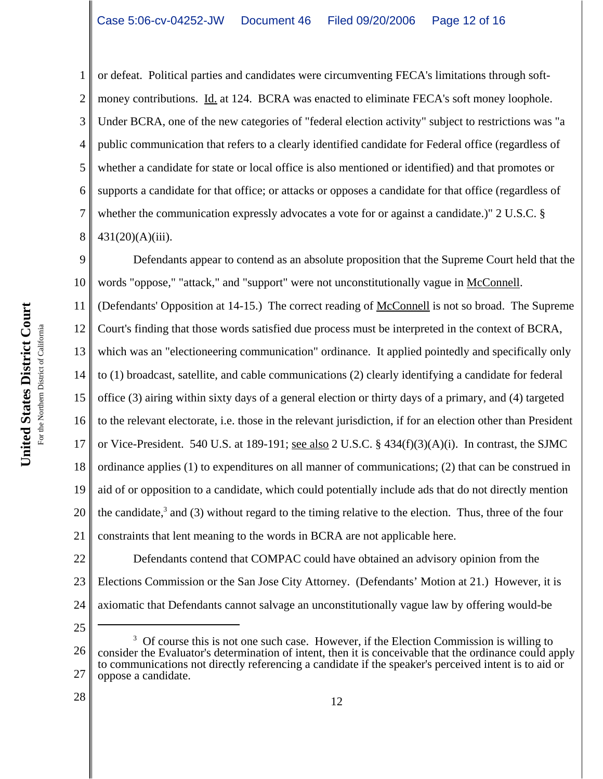or defeat. Political parties and candidates were circumventing FECA's limitations through softmoney contributions. Id. at 124. BCRA was enacted to eliminate FECA's soft money loophole. Under BCRA, one of the new categories of "federal election activity" subject to restrictions was "a public communication that refers to a clearly identified candidate for Federal office (regardless of whether a candidate for state or local office is also mentioned or identified) and that promotes or supports a candidate for that office; or attacks or opposes a candidate for that office (regardless of whether the communication expressly advocates a vote for or against a candidate.)" 2 U.S.C. § 431(20)(A)(iii).

9 10 11 12 13 14 15 16 17 18 19 20 21 Defendants appear to contend as an absolute proposition that the Supreme Court held that the words "oppose," "attack," and "support" were not unconstitutionally vague in McConnell. (Defendants' Opposition at 14-15.) The correct reading of McConnell is not so broad. The Supreme Court's finding that those words satisfied due process must be interpreted in the context of BCRA, which was an "electioneering communication" ordinance. It applied pointedly and specifically only to (1) broadcast, satellite, and cable communications (2) clearly identifying a candidate for federal office (3) airing within sixty days of a general election or thirty days of a primary, and (4) targeted to the relevant electorate, i.e. those in the relevant jurisdiction, if for an election other than President or Vice-President. 540 U.S. at 189-191; see also 2 U.S.C. § 434(f)(3)(A)(i). In contrast, the SJMC ordinance applies (1) to expenditures on all manner of communications; (2) that can be construed in aid of or opposition to a candidate, which could potentially include ads that do not directly mention the candidate, $3$  and (3) without regard to the timing relative to the election. Thus, three of the four constraints that lent meaning to the words in BCRA are not applicable here.

22 23 24 Defendants contend that COMPAC could have obtained an advisory opinion from the Elections Commission or the San Jose City Attorney. (Defendants' Motion at 21.) However, it is axiomatic that Defendants cannot salvage an unconstitutionally vague law by offering would-be

25

1

2

3

4

5

6

7

8

<sup>26</sup> 27 <sup>3</sup> Of course this is not one such case. However, if the Election Commission is willing to consider the Evaluator's determination of intent, then it is conceivable that the ordinance could apply to communications not directly referencing a candidate if the speaker's perceived intent is to aid or oppose a candidate.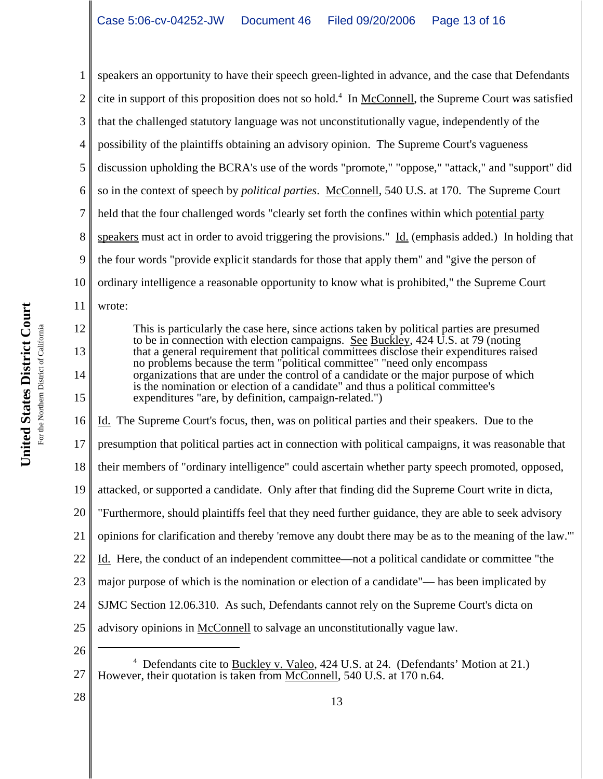1 2 3 4 5 6 7 8 9 10 11 12 13 14 15 speakers an opportunity to have their speech green-lighted in advance, and the case that Defendants cite in support of this proposition does not so hold.<sup>4</sup> In McConnell, the Supreme Court was satisfied that the challenged statutory language was not unconstitutionally vague, independently of the possibility of the plaintiffs obtaining an advisory opinion. The Supreme Court's vagueness discussion upholding the BCRA's use of the words "promote," "oppose," "attack," and "support" did so in the context of speech by *political parties*. McConnell, 540 U.S. at 170. The Supreme Court held that the four challenged words "clearly set forth the confines within which potential party speakers must act in order to avoid triggering the provisions." Id. (emphasis added.) In holding that the four words "provide explicit standards for those that apply them" and "give the person of ordinary intelligence a reasonable opportunity to know what is prohibited," the Supreme Court wrote: This is particularly the case here, since actions taken by political parties are presumed to be in connection with election campaigns. See Buckley, 424 U.S. at 79 (noting that a general requirement that political committees disclose their expenditures raised no problems because the term "political committee" "need only encompass organizations that are under the control of a candidate or the major purpose of which is the nomination or election of a candidate" and thus a political committee's expenditures "are, by definition, campaign-related.")

16 17 18 19 20 21 22 23 24 25 26 Id. The Supreme Court's focus, then, was on political parties and their speakers. Due to the presumption that political parties act in connection with political campaigns, it was reasonable that their members of "ordinary intelligence" could ascertain whether party speech promoted, opposed, attacked, or supported a candidate. Only after that finding did the Supreme Court write in dicta, "Furthermore, should plaintiffs feel that they need further guidance, they are able to seek advisory opinions for clarification and thereby 'remove any doubt there may be as to the meaning of the law.'" Id. Here, the conduct of an independent committee—not a political candidate or committee "the major purpose of which is the nomination or election of a candidate"— has been implicated by SJMC Section 12.06.310. As such, Defendants cannot rely on the Supreme Court's dicta on advisory opinions in McConnell to salvage an unconstitutionally vague law.

27 <sup>4</sup> Defendants cite to Buckley v. Valeo, 424 U.S. at 24. (Defendants' Motion at 21.) However, their quotation is taken from McConnell, 540 U.S. at 170 n.64.

13

United States District Court **United States District Court** For the Northern District of California For the Northern District of California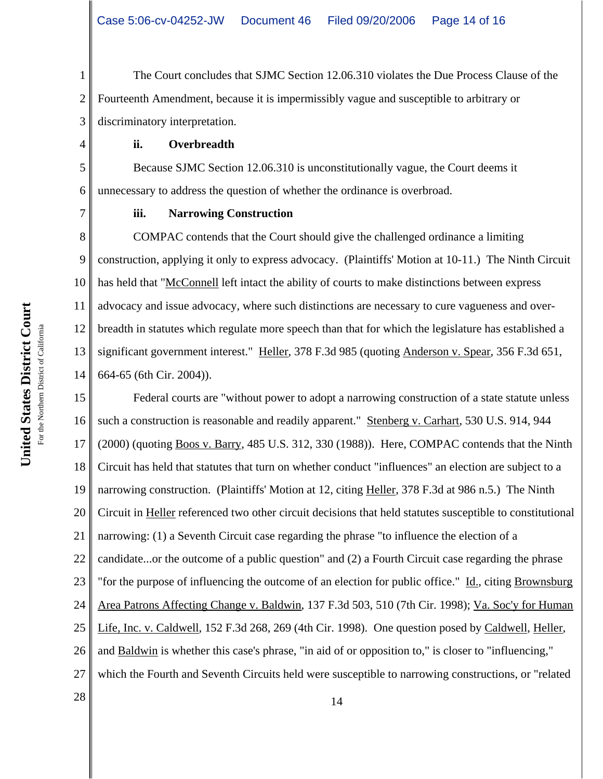1 2 3 The Court concludes that SJMC Section 12.06.310 violates the Due Process Clause of the Fourteenth Amendment, because it is impermissibly vague and susceptible to arbitrary or discriminatory interpretation.

## **ii. Overbreadth**

Because SJMC Section 12.06.310 is unconstitutionally vague, the Court deems it unnecessary to address the question of whether the ordinance is overbroad.

7

4

5

6

# **iii. Narrowing Construction**

8 9 10 11 12 13 14 COMPAC contends that the Court should give the challenged ordinance a limiting construction, applying it only to express advocacy. (Plaintiffs' Motion at 10-11.) The Ninth Circuit has held that "McConnell left intact the ability of courts to make distinctions between express advocacy and issue advocacy, where such distinctions are necessary to cure vagueness and overbreadth in statutes which regulate more speech than that for which the legislature has established a significant government interest." Heller, 378 F.3d 985 (quoting Anderson v. Spear, 356 F.3d 651, 664-65 (6th Cir. 2004)).

15 16 17 18 19 20 21 22 23 24 25 26 27  $\begin{array}{|c|c|c|c|c|}\n \hline\n 28 & 14 \\
\hline\n \end{array}$ Federal courts are "without power to adopt a narrowing construction of a state statute unless such a construction is reasonable and readily apparent." Stenberg v. Carhart, 530 U.S. 914, 944 (2000) (quoting Boos v. Barry, 485 U.S. 312, 330 (1988)). Here, COMPAC contends that the Ninth Circuit has held that statutes that turn on whether conduct "influences" an election are subject to a narrowing construction. (Plaintiffs' Motion at 12, citing Heller, 378 F.3d at 986 n.5.) The Ninth Circuit in Heller referenced two other circuit decisions that held statutes susceptible to constitutional narrowing: (1) a Seventh Circuit case regarding the phrase "to influence the election of a candidate...or the outcome of a public question" and (2) a Fourth Circuit case regarding the phrase "for the purpose of influencing the outcome of an election for public office." Id., citing Brownsburg Area Patrons Affecting Change v. Baldwin, 137 F.3d 503, 510 (7th Cir. 1998); Va. Soc'y for Human Life, Inc. v. Caldwell, 152 F.3d 268, 269 (4th Cir. 1998). One question posed by Caldwell, Heller, and Baldwin is whether this case's phrase, "in aid of or opposition to," is closer to "influencing," which the Fourth and Seventh Circuits held were susceptible to narrowing constructions, or "related

United States District Court **United States District Court** For the Northern District of California For the Northern District of California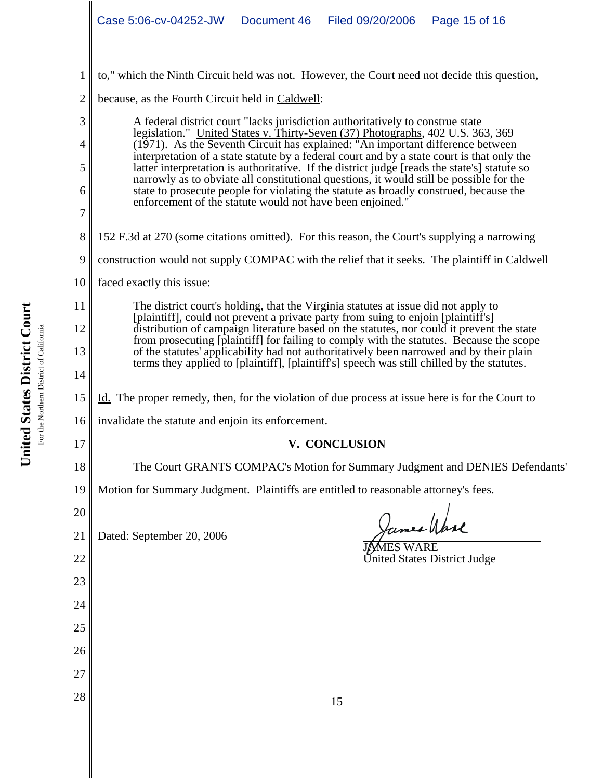- to," which the Ninth Circuit held was not. However, the Court need not decide this question,
- 2 because, as the Fourth Circuit held in Caldwell:

A federal district court "lacks jurisdiction authoritatively to construe state legislation." United States v. Thirty-Seven (37) Photographs, 402 U.S. 363, 369 (1971). As the Seventh Circuit has explained: "An important difference between interpretation of a state statute by a federal court and by a state court is that only the latter interpretation is authoritative. If the district judge [reads the state's] statute so narrowly as to obviate all constitutional questions, it would still be possible for the state to prosecute people for violating the statute as broadly construed, because the enforcement of the statute would not have been enjoined."

- 152 F.3d at 270 (some citations omitted). For this reason, the Court's supplying a narrowing
- 9 construction would not supply COMPAC with the relief that it seeks. The plaintiff in Caldwell
- 10 faced exactly this issue:

1

3

4

5

6

7

8

11

12

13

14

15

17

18

20

22

23

24

25

26

27

The district court's holding, that the Virginia statutes at issue did not apply to [plaintiff], could not prevent a private party from suing to enjoin [plaintiff's] distribution of campaign literature based on the statutes, nor could it prevent the state from prosecuting [plaintiff] for failing to comply with the statutes. Because the scope of the statutes' applicability had not authoritatively been narrowed and by their plain terms they applied to [plaintiff], [plaintiff's] speech was still chilled by the statutes.

- Id. The proper remedy, then, for the violation of due process at issue here is for the Court to
- 16 invalidate the statute and enjoin its enforcement.
	- **V. CONCLUSION**
	- The Court GRANTS COMPAC's Motion for Summary Judgment and DENIES Defendants'
- 19 Motion for Summary Judgment. Plaintiffs are entitled to reasonable attorney's fees.
- 21 Dated: September 20, 2006

James Wase

**J/AMES WARE** United States District Judge

 $\begin{array}{c|c|c|c} \hline 28 & 15 \end{array}$